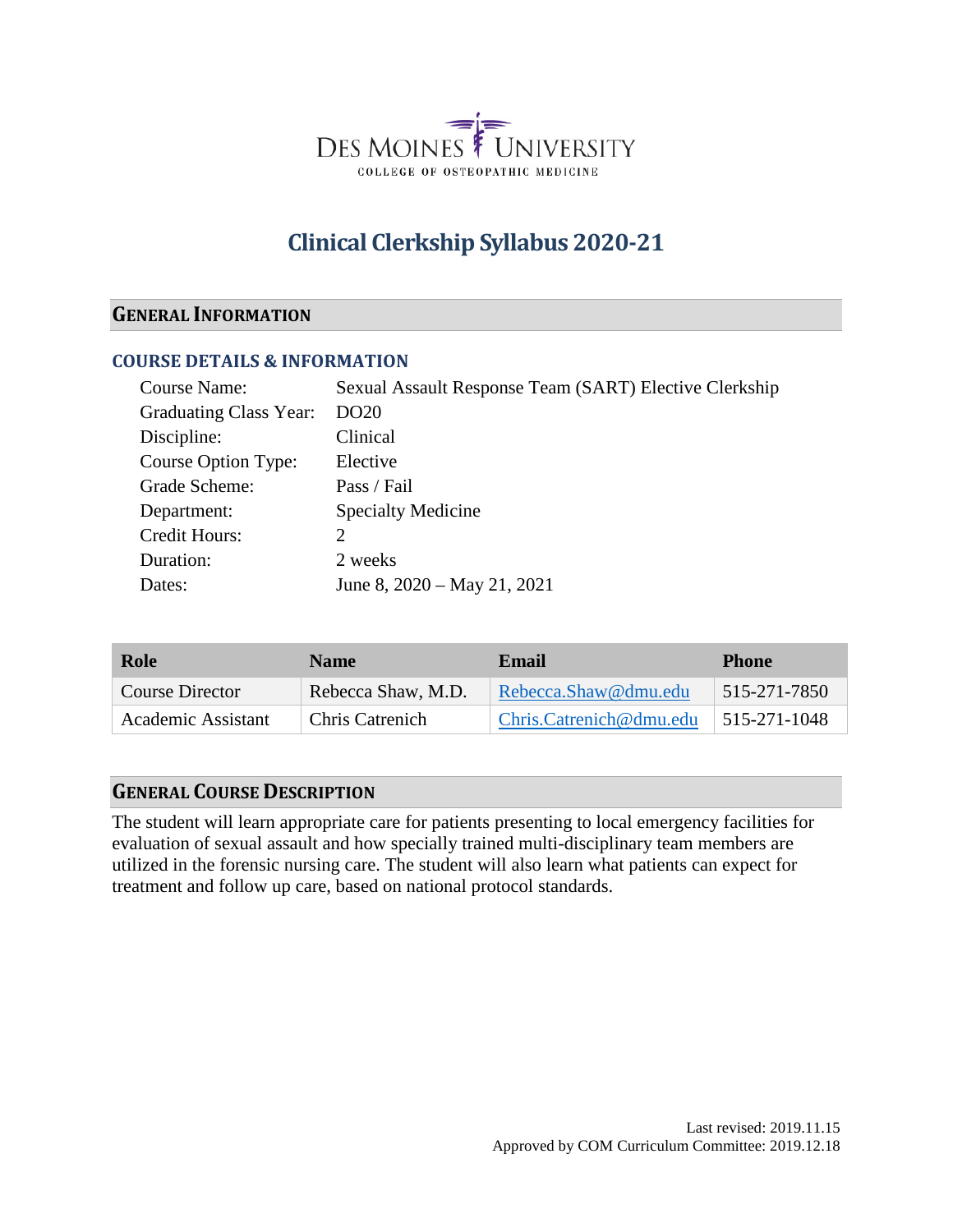

# **Clinical Clerkship Syllabus 2020-21**

#### **GENERAL INFORMATION**

#### **COURSE DETAILS & INFORMATION**

| Course Name:           | Sexual Assault Response Team (SART) Elective Clerkship |
|------------------------|--------------------------------------------------------|
| Graduating Class Year: | DO <sub>20</sub>                                       |
| Discipline:            | Clinical                                               |
| Course Option Type:    | Elective                                               |
| Grade Scheme:          | Pass / Fail                                            |
| Department:            | <b>Specialty Medicine</b>                              |
| Credit Hours:          | 2                                                      |
| Duration:              | 2 weeks                                                |
| Dates:                 | June 8, $2020 - May 21$ , $2021$                       |

| Role                   | <b>Name</b>            | Email                   | <b>Phone</b>        |
|------------------------|------------------------|-------------------------|---------------------|
| <b>Course Director</b> | Rebecca Shaw, M.D.     | Rebecca.Shaw@dmu.edu    | 515-271-7850        |
| Academic Assistant     | <b>Chris Catrenich</b> | Chris.Catrenich@dmu.edu | $\mid$ 515-271-1048 |

### **GENERAL COURSE DESCRIPTION**

The student will learn appropriate care for patients presenting to local emergency facilities for evaluation of sexual assault and how specially trained multi-disciplinary team members are utilized in the forensic nursing care. The student will also learn what patients can expect for treatment and follow up care, based on national protocol standards.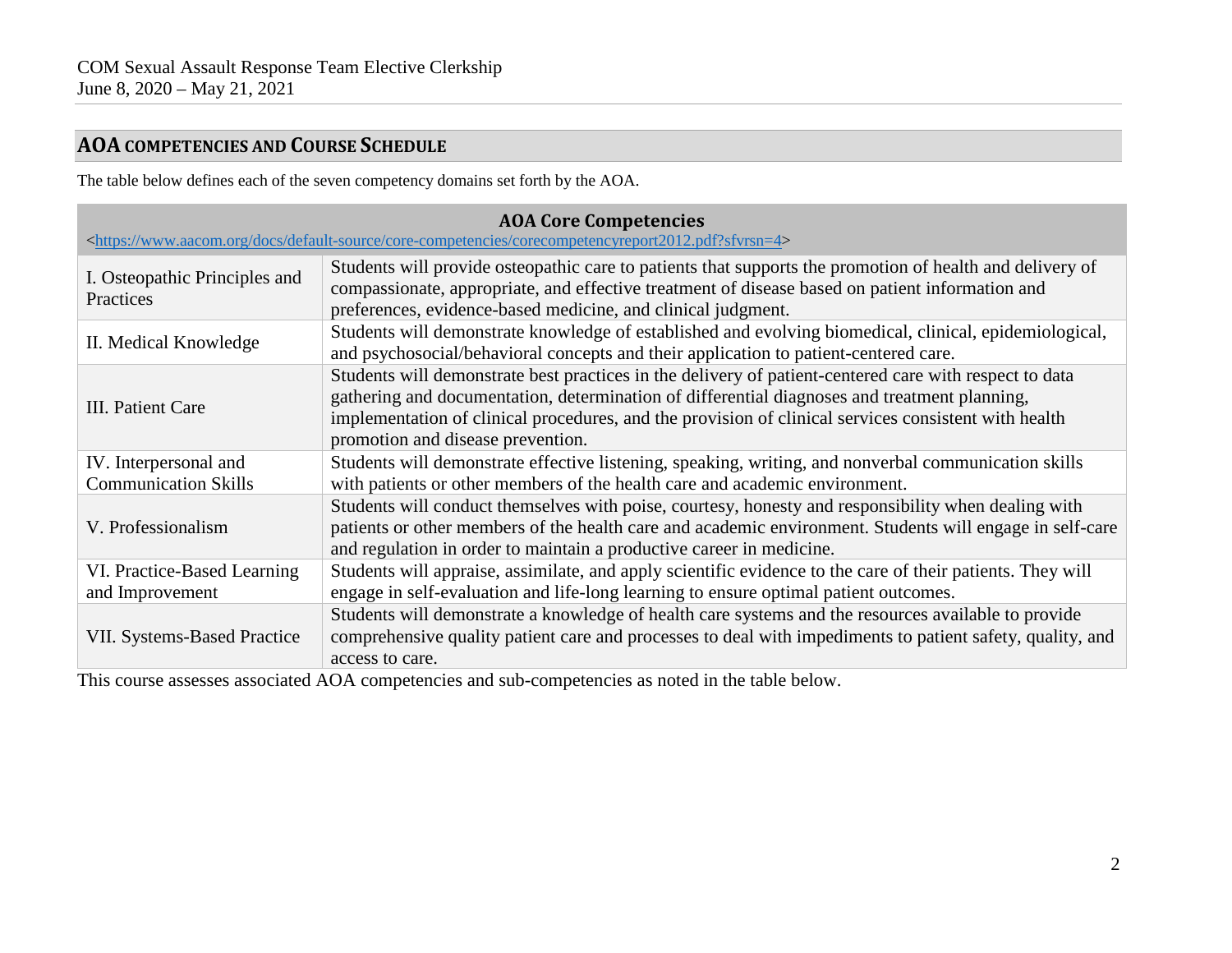# **AOA COMPETENCIES AND COURSE SCHEDULE**

The table below defines each of the seven competency domains set forth by the AOA.

| <b>AOA Core Competencies</b><br><https: core-competencies="" corecompetencyreport2012.pdf?sfvrsn="4" default-source="" docs="" www.aacom.org=""></https:> |                                                                                                                                                                                                                                                                                                                                                     |  |  |
|-----------------------------------------------------------------------------------------------------------------------------------------------------------|-----------------------------------------------------------------------------------------------------------------------------------------------------------------------------------------------------------------------------------------------------------------------------------------------------------------------------------------------------|--|--|
| I. Osteopathic Principles and<br>Practices                                                                                                                | Students will provide osteopathic care to patients that supports the promotion of health and delivery of<br>compassionate, appropriate, and effective treatment of disease based on patient information and<br>preferences, evidence-based medicine, and clinical judgment.                                                                         |  |  |
| II. Medical Knowledge                                                                                                                                     | Students will demonstrate knowledge of established and evolving biomedical, clinical, epidemiological,<br>and psychosocial/behavioral concepts and their application to patient-centered care.                                                                                                                                                      |  |  |
| III. Patient Care                                                                                                                                         | Students will demonstrate best practices in the delivery of patient-centered care with respect to data<br>gathering and documentation, determination of differential diagnoses and treatment planning,<br>implementation of clinical procedures, and the provision of clinical services consistent with health<br>promotion and disease prevention. |  |  |
| IV. Interpersonal and<br><b>Communication Skills</b>                                                                                                      | Students will demonstrate effective listening, speaking, writing, and nonverbal communication skills<br>with patients or other members of the health care and academic environment.                                                                                                                                                                 |  |  |
| V. Professionalism                                                                                                                                        | Students will conduct themselves with poise, courtesy, honesty and responsibility when dealing with<br>patients or other members of the health care and academic environment. Students will engage in self-care<br>and regulation in order to maintain a productive career in medicine.                                                             |  |  |
| VI. Practice-Based Learning<br>and Improvement                                                                                                            | Students will appraise, assimilate, and apply scientific evidence to the care of their patients. They will<br>engage in self-evaluation and life-long learning to ensure optimal patient outcomes.                                                                                                                                                  |  |  |
| <b>VII. Systems-Based Practice</b>                                                                                                                        | Students will demonstrate a knowledge of health care systems and the resources available to provide<br>comprehensive quality patient care and processes to deal with impediments to patient safety, quality, and<br>access to care.                                                                                                                 |  |  |

This course assesses associated AOA competencies and sub-competencies as noted in the table below.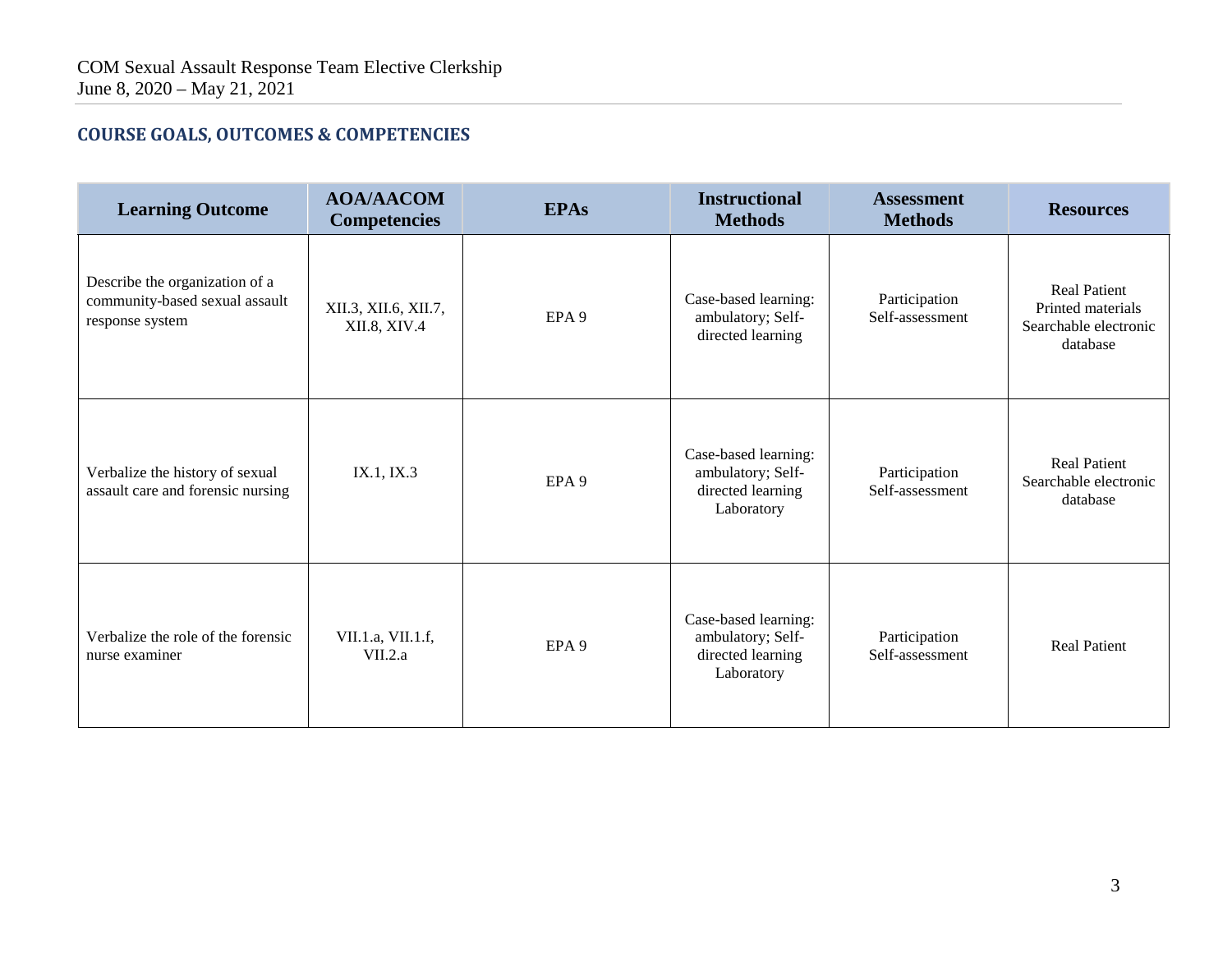## **COURSE GOALS, OUTCOMES & COMPETENCIES**

| <b>Learning Outcome</b>                                                             | <b>AOA/AACOM</b><br><b>Competencies</b> | <b>EPAs</b>      | <b>Instructional</b><br><b>Methods</b>                                       | <b>Assessment</b><br><b>Methods</b> | <b>Resources</b>                                                              |
|-------------------------------------------------------------------------------------|-----------------------------------------|------------------|------------------------------------------------------------------------------|-------------------------------------|-------------------------------------------------------------------------------|
| Describe the organization of a<br>community-based sexual assault<br>response system | XII.3, XII.6, XII.7,<br>XII.8, XIV.4    | EPA <sub>9</sub> | Case-based learning:<br>ambulatory; Self-<br>directed learning               | Participation<br>Self-assessment    | <b>Real Patient</b><br>Printed materials<br>Searchable electronic<br>database |
| Verbalize the history of sexual<br>assault care and forensic nursing                | IX.1, IX.3                              | EPA <sub>9</sub> | Case-based learning:<br>ambulatory; Self-<br>directed learning<br>Laboratory | Participation<br>Self-assessment    | <b>Real Patient</b><br>Searchable electronic<br>database                      |
| Verbalize the role of the forensic<br>nurse examiner                                | VII.1.a, VII.1.f,<br>VII.2.a            | EPA <sub>9</sub> | Case-based learning:<br>ambulatory; Self-<br>directed learning<br>Laboratory | Participation<br>Self-assessment    | <b>Real Patient</b>                                                           |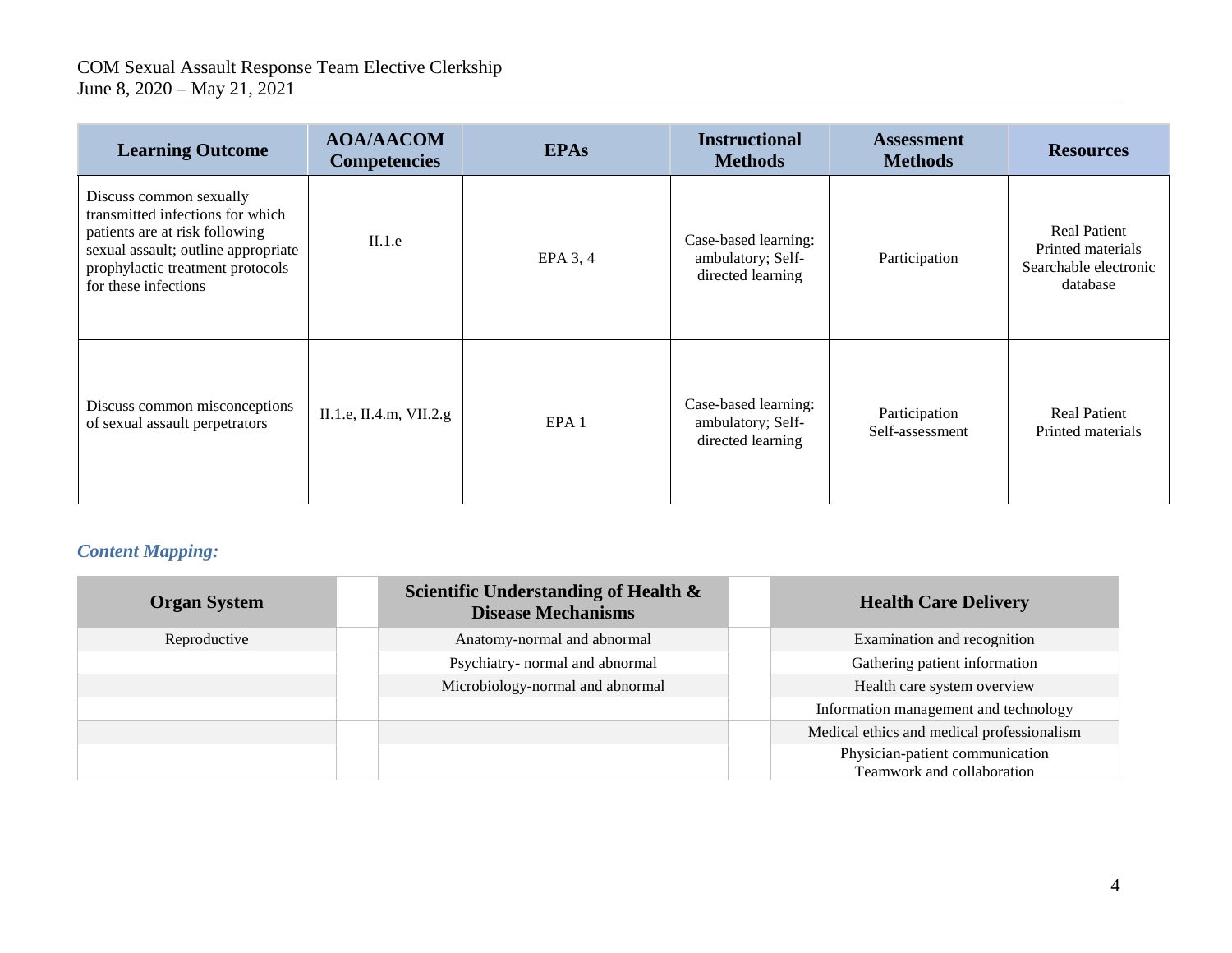| <b>Learning Outcome</b>                                                                                                                                                                          | <b>AOA/AACOM</b><br><b>Competencies</b> | <b>EPAs</b>      | <b>Instructional</b><br><b>Methods</b>                         | <b>Assessment</b><br><b>Methods</b> | <b>Resources</b>                                                              |
|--------------------------------------------------------------------------------------------------------------------------------------------------------------------------------------------------|-----------------------------------------|------------------|----------------------------------------------------------------|-------------------------------------|-------------------------------------------------------------------------------|
| Discuss common sexually<br>transmitted infections for which<br>patients are at risk following<br>sexual assault; outline appropriate<br>prophylactic treatment protocols<br>for these infections | II.1.e                                  | $EPA$ 3, 4       | Case-based learning:<br>ambulatory; Self-<br>directed learning | Participation                       | <b>Real Patient</b><br>Printed materials<br>Searchable electronic<br>database |
| Discuss common misconceptions<br>of sexual assault perpetrators                                                                                                                                  | II.1.e, II.4.m, VII.2.g                 | EPA <sub>1</sub> | Case-based learning:<br>ambulatory; Self-<br>directed learning | Participation<br>Self-assessment    | <b>Real Patient</b><br>Printed materials                                      |

# *Content Mapping:*

| <b>Organ System</b> | Scientific Understanding of Health &<br><b>Disease Mechanisms</b> | <b>Health Care Delivery</b>                |
|---------------------|-------------------------------------------------------------------|--------------------------------------------|
| Reproductive        | Anatomy-normal and abnormal                                       | Examination and recognition                |
|                     | Psychiatry- normal and abnormal                                   | Gathering patient information              |
|                     | Microbiology-normal and abnormal                                  | Health care system overview                |
|                     |                                                                   | Information management and technology      |
|                     |                                                                   | Medical ethics and medical professionalism |
|                     |                                                                   | Physician-patient communication            |
|                     |                                                                   | Teamwork and collaboration                 |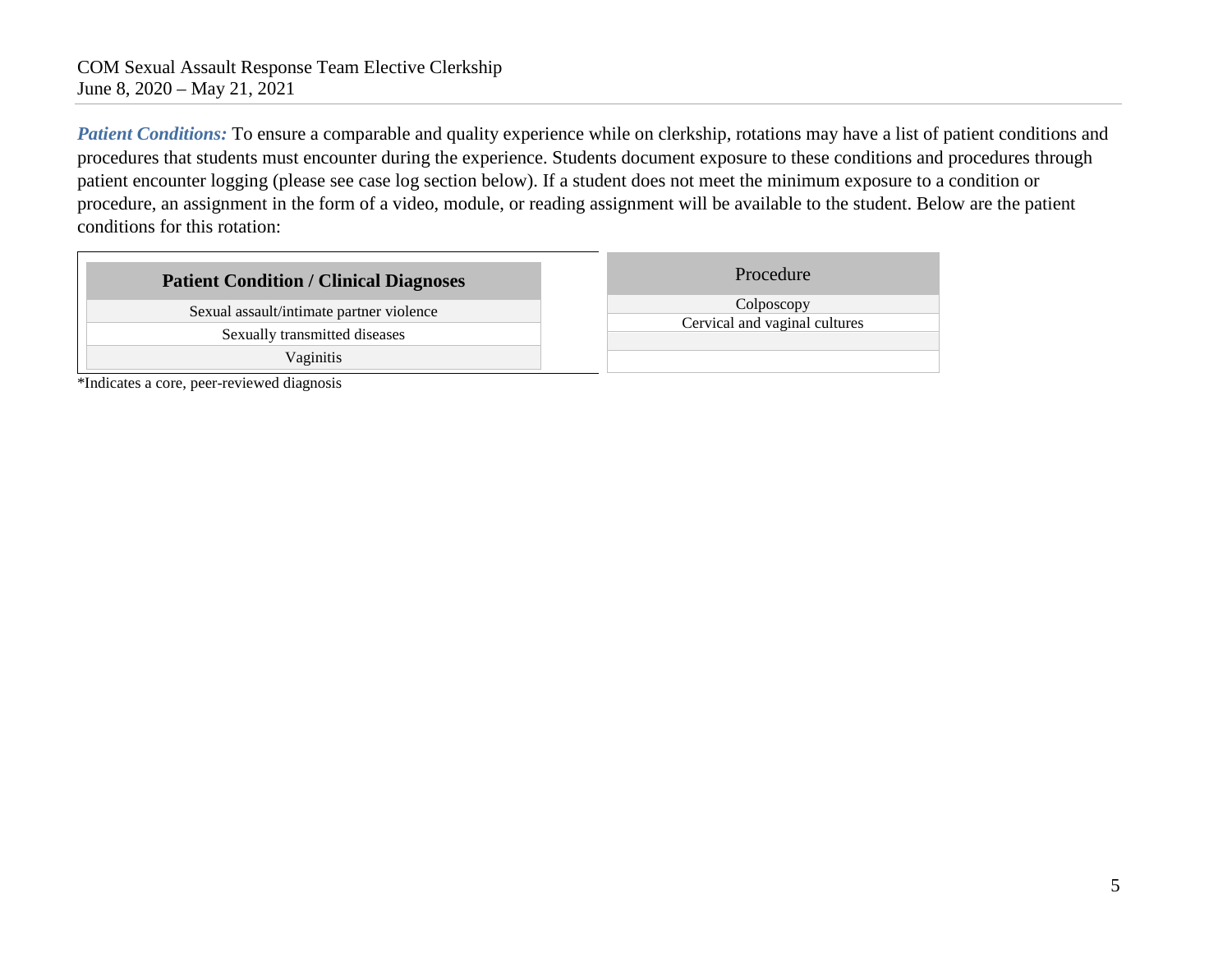*Patient Conditions:* To ensure a comparable and quality experience while on clerkship, rotations may have a list of patient conditions and procedures that students must encounter during the experience. Students document exposure to these conditions and procedures through patient encounter logging (please see case log section below). If a student does not meet the minimum exposure to a condition or procedure, an assignment in the form of a video, module, or reading assignment will be available to the student. Below are the patient conditions for this rotation:

| <b>Patient Condition / Clinical Diagnoses</b> | Procedure                     |
|-----------------------------------------------|-------------------------------|
| Sexual assault/intimate partner violence      | Colposcopy                    |
| Sexually transmitted diseases                 | Cervical and vaginal cultures |
| Vaginitis                                     |                               |

\*Indicates a core, peer-reviewed diagnosis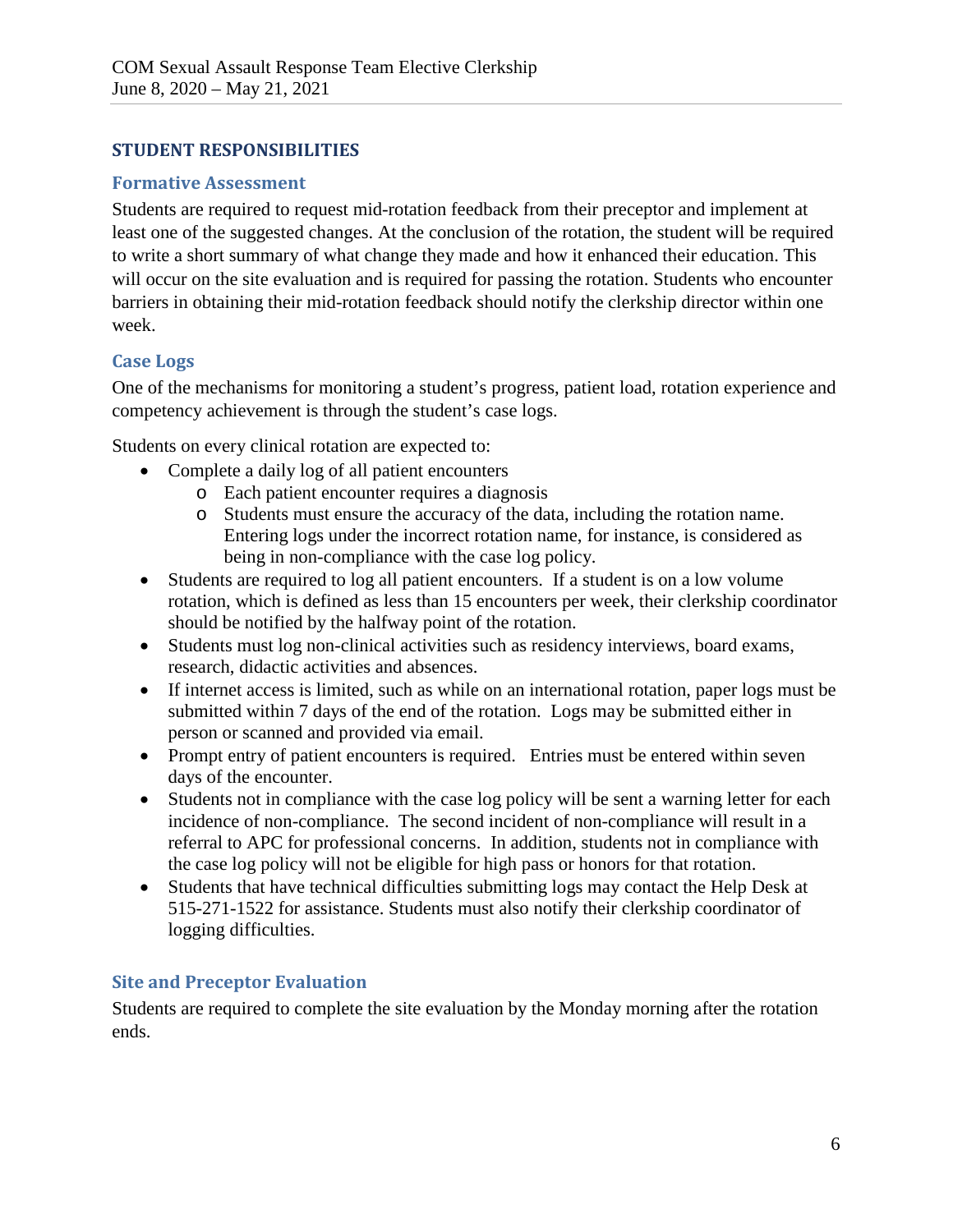## **STUDENT RESPONSIBILITIES**

#### **Formative Assessment**

Students are required to request mid-rotation feedback from their preceptor and implement at least one of the suggested changes. At the conclusion of the rotation, the student will be required to write a short summary of what change they made and how it enhanced their education. This will occur on the site evaluation and is required for passing the rotation. Students who encounter barriers in obtaining their mid-rotation feedback should notify the clerkship director within one week.

#### **Case Logs**

One of the mechanisms for monitoring a student's progress, patient load, rotation experience and competency achievement is through the student's case logs.

Students on every clinical rotation are expected to:

- Complete a daily log of all patient encounters
	- o Each patient encounter requires a diagnosis
	- o Students must ensure the accuracy of the data, including the rotation name. Entering logs under the incorrect rotation name, for instance, is considered as being in non-compliance with the case log policy.
- Students are required to log all patient encounters. If a student is on a low volume rotation, which is defined as less than 15 encounters per week, their clerkship coordinator should be notified by the halfway point of the rotation.
- Students must log non-clinical activities such as residency interviews, board exams, research, didactic activities and absences.
- If internet access is limited, such as while on an international rotation, paper logs must be submitted within 7 days of the end of the rotation. Logs may be submitted either in person or scanned and provided via email.
- Prompt entry of patient encounters is required. Entries must be entered within seven days of the encounter.
- Students not in compliance with the case log policy will be sent a warning letter for each incidence of non-compliance. The second incident of non-compliance will result in a referral to APC for professional concerns. In addition, students not in compliance with the case log policy will not be eligible for high pass or honors for that rotation.
- Students that have technical difficulties submitting logs may contact the Help Desk at 515-271-1522 for assistance. Students must also notify their clerkship coordinator of logging difficulties.

#### **Site and Preceptor Evaluation**

Students are required to complete the site evaluation by the Monday morning after the rotation ends.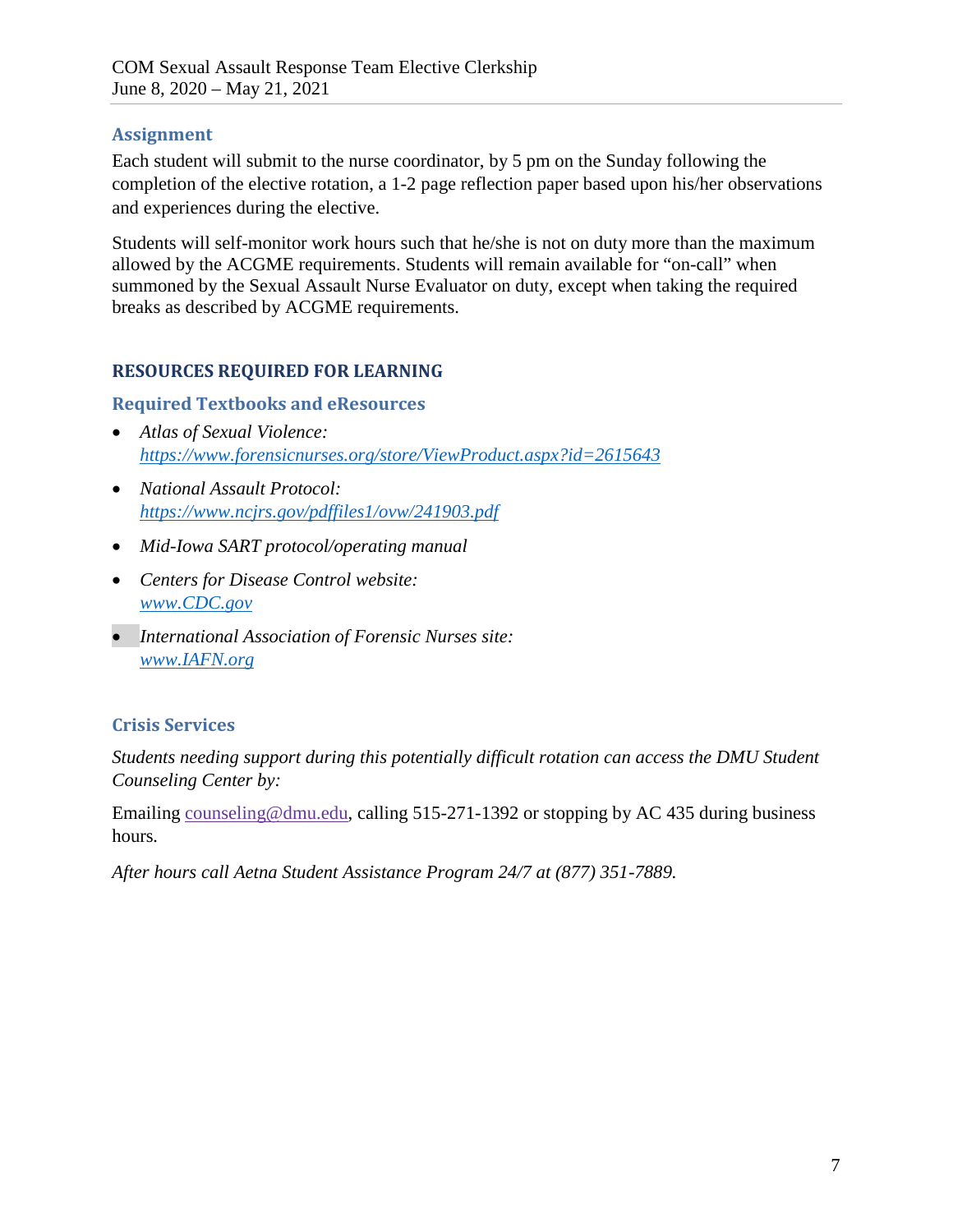#### **Assignment**

Each student will submit to the nurse coordinator, by 5 pm on the Sunday following the completion of the elective rotation, a 1-2 page reflection paper based upon his/her observations and experiences during the elective.

Students will self-monitor work hours such that he/she is not on duty more than the maximum allowed by the ACGME requirements. Students will remain available for "on-call" when summoned by the Sexual Assault Nurse Evaluator on duty, except when taking the required breaks as described by ACGME requirements.

## **RESOURCES REQUIRED FOR LEARNING**

#### **Required Textbooks and eResources**

- *Atlas of Sexual Violence: <https://www.forensicnurses.org/store/ViewProduct.aspx?id=2615643>*
- *National Assault Protocol: <https://www.ncjrs.gov/pdffiles1/ovw/241903.pdf>*
- *Mid-Iowa SART protocol/operating manual*
- *Centers for Disease Control website: [www.CDC.gov](http://www.cdc.gov/)*
- *International Association of Forensic Nurses site: [www.IAFN.org](http://www.iafn.org/)*

## **Crisis Services**

*Students needing support during this potentially difficult rotation can access the DMU Student Counseling Center by:*

Emailing [counseling@dmu.edu,](mailto:counseling@dmu.edu) calling 515-271-1392 or stopping by AC 435 during business hours*.*

*After hours call Aetna Student Assistance Program 24/7 at (877) 351-7889.*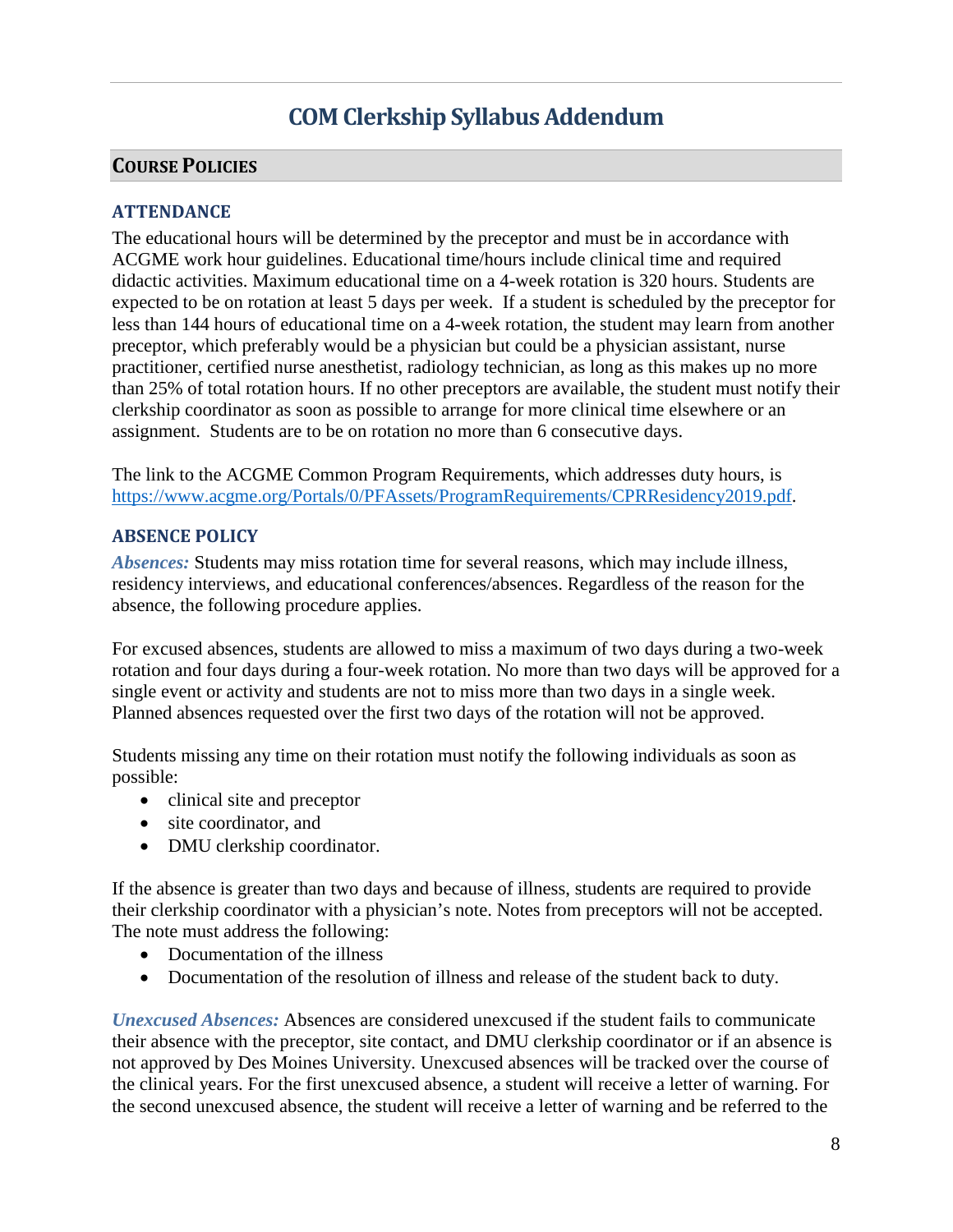# **COM Clerkship Syllabus Addendum**

### **COURSE POLICIES**

#### **ATTENDANCE**

The educational hours will be determined by the preceptor and must be in accordance with ACGME work hour guidelines. Educational time/hours include clinical time and required didactic activities. Maximum educational time on a 4-week rotation is 320 hours. Students are expected to be on rotation at least 5 days per week. If a student is scheduled by the preceptor for less than 144 hours of educational time on a 4-week rotation, the student may learn from another preceptor, which preferably would be a physician but could be a physician assistant, nurse practitioner, certified nurse anesthetist, radiology technician, as long as this makes up no more than 25% of total rotation hours. If no other preceptors are available, the student must notify their clerkship coordinator as soon as possible to arrange for more clinical time elsewhere or an assignment. Students are to be on rotation no more than 6 consecutive days.

The link to the ACGME Common Program Requirements, which addresses duty hours, is [https://www.acgme.org/Portals/0/PFAssets/ProgramRequirements/CPRResidency2019.pdf.](https://www.acgme.org/Portals/0/PFAssets/ProgramRequirements/CPRResidency2019.pdf)

#### **ABSENCE POLICY**

*Absences:* Students may miss rotation time for several reasons, which may include illness, residency interviews, and educational conferences/absences. Regardless of the reason for the absence, the following procedure applies.

For excused absences, students are allowed to miss a maximum of two days during a two-week rotation and four days during a four-week rotation. No more than two days will be approved for a single event or activity and students are not to miss more than two days in a single week. Planned absences requested over the first two days of the rotation will not be approved.

Students missing any time on their rotation must notify the following individuals as soon as possible:

- clinical site and preceptor
- site coordinator, and
- DMU clerkship coordinator.

If the absence is greater than two days and because of illness, students are required to provide their clerkship coordinator with a physician's note. Notes from preceptors will not be accepted. The note must address the following:

- Documentation of the illness
- Documentation of the resolution of illness and release of the student back to duty.

*Unexcused Absences:* Absences are considered unexcused if the student fails to communicate their absence with the preceptor, site contact, and DMU clerkship coordinator or if an absence is not approved by Des Moines University. Unexcused absences will be tracked over the course of the clinical years. For the first unexcused absence, a student will receive a letter of warning. For the second unexcused absence, the student will receive a letter of warning and be referred to the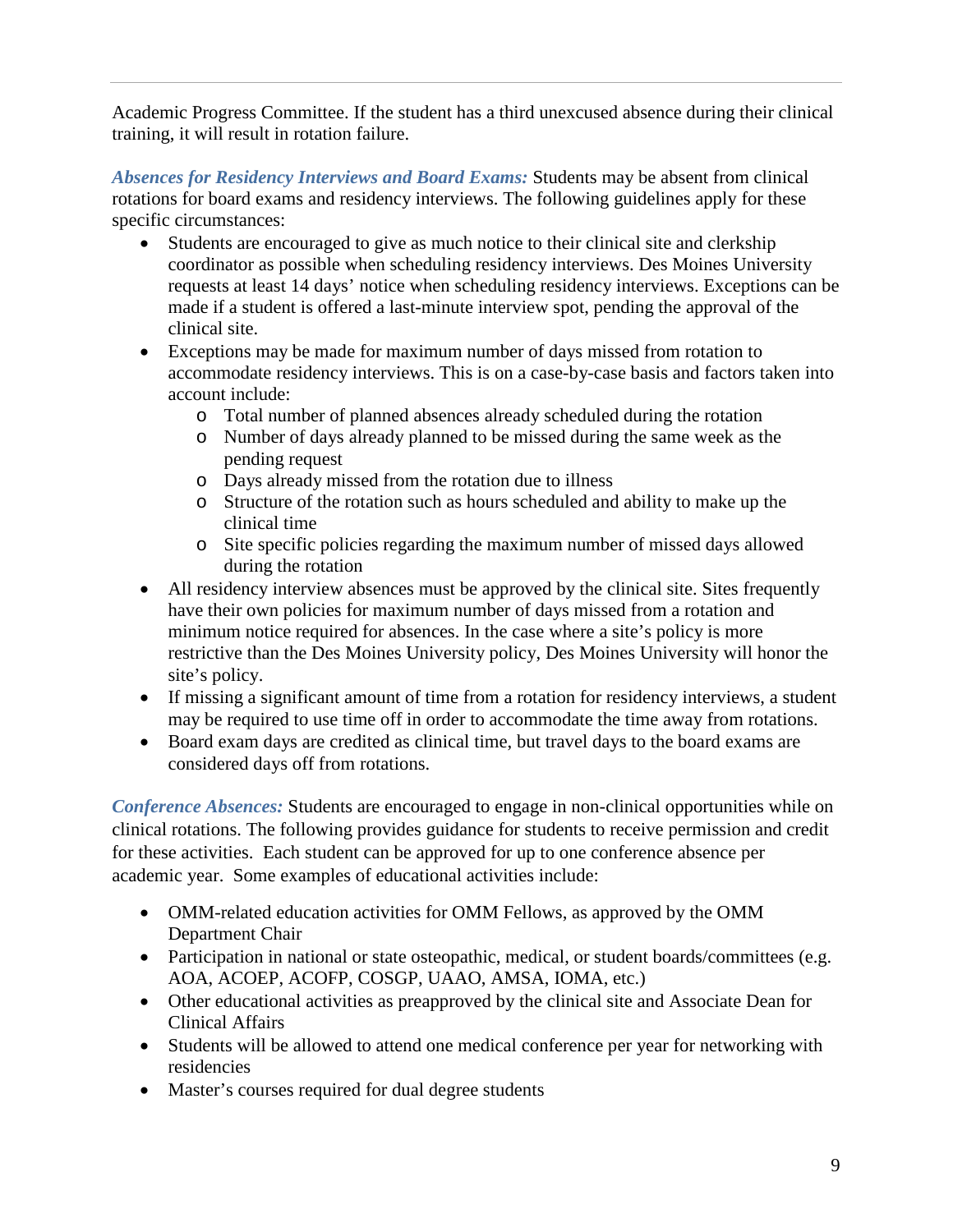Academic Progress Committee. If the student has a third unexcused absence during their clinical training, it will result in rotation failure.

*Absences for Residency Interviews and Board Exams:* Students may be absent from clinical rotations for board exams and residency interviews. The following guidelines apply for these specific circumstances:

- Students are encouraged to give as much notice to their clinical site and clerkship coordinator as possible when scheduling residency interviews. Des Moines University requests at least 14 days' notice when scheduling residency interviews. Exceptions can be made if a student is offered a last-minute interview spot, pending the approval of the clinical site.
- Exceptions may be made for maximum number of days missed from rotation to accommodate residency interviews. This is on a case-by-case basis and factors taken into account include:
	- o Total number of planned absences already scheduled during the rotation
	- o Number of days already planned to be missed during the same week as the pending request
	- o Days already missed from the rotation due to illness
	- o Structure of the rotation such as hours scheduled and ability to make up the clinical time
	- o Site specific policies regarding the maximum number of missed days allowed during the rotation
- All residency interview absences must be approved by the clinical site. Sites frequently have their own policies for maximum number of days missed from a rotation and minimum notice required for absences. In the case where a site's policy is more restrictive than the Des Moines University policy, Des Moines University will honor the site's policy.
- If missing a significant amount of time from a rotation for residency interviews, a student may be required to use time off in order to accommodate the time away from rotations.
- Board exam days are credited as clinical time, but travel days to the board exams are considered days off from rotations.

*Conference Absences:* Students are encouraged to engage in non-clinical opportunities while on clinical rotations. The following provides guidance for students to receive permission and credit for these activities. Each student can be approved for up to one conference absence per academic year. Some examples of educational activities include:

- OMM-related education activities for OMM Fellows, as approved by the OMM Department Chair
- Participation in national or state osteopathic, medical, or student boards/committees (e.g. AOA, ACOEP, ACOFP, COSGP, UAAO, AMSA, IOMA, etc.)
- Other educational activities as preapproved by the clinical site and Associate Dean for Clinical Affairs
- Students will be allowed to attend one medical conference per year for networking with residencies
- Master's courses required for dual degree students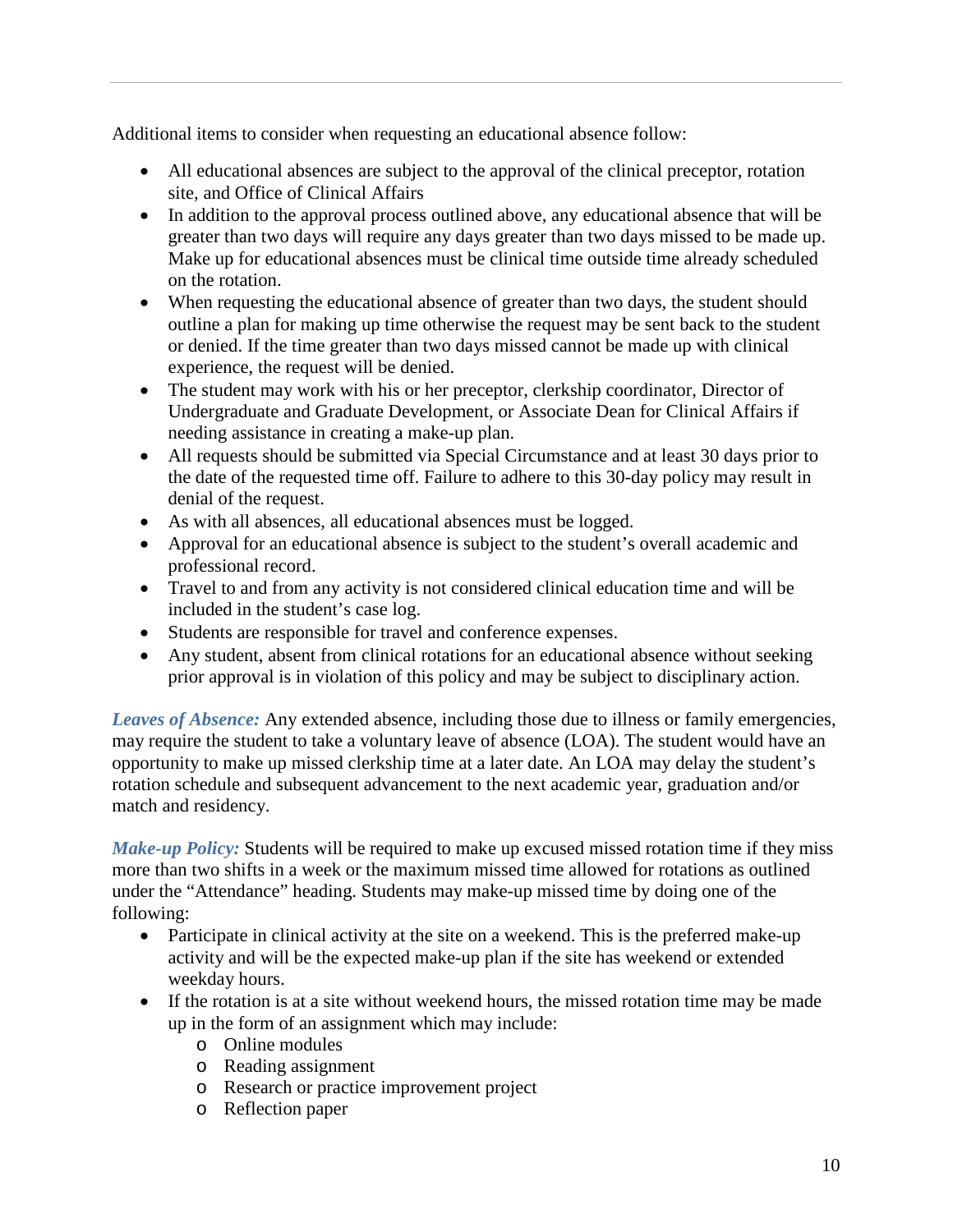Additional items to consider when requesting an educational absence follow:

- All educational absences are subject to the approval of the clinical preceptor, rotation site, and Office of Clinical Affairs
- In addition to the approval process outlined above, any educational absence that will be greater than two days will require any days greater than two days missed to be made up. Make up for educational absences must be clinical time outside time already scheduled on the rotation.
- When requesting the educational absence of greater than two days, the student should outline a plan for making up time otherwise the request may be sent back to the student or denied. If the time greater than two days missed cannot be made up with clinical experience, the request will be denied.
- The student may work with his or her preceptor, clerkship coordinator, Director of Undergraduate and Graduate Development, or Associate Dean for Clinical Affairs if needing assistance in creating a make-up plan.
- All requests should be submitted via Special Circumstance and at least 30 days prior to the date of the requested time off. Failure to adhere to this 30-day policy may result in denial of the request.
- As with all absences, all educational absences must be logged.
- Approval for an educational absence is subject to the student's overall academic and professional record.
- Travel to and from any activity is not considered clinical education time and will be included in the student's case log.
- Students are responsible for travel and conference expenses.
- Any student, absent from clinical rotations for an educational absence without seeking prior approval is in violation of this policy and may be subject to disciplinary action.

*Leaves of Absence:* Any extended absence, including those due to illness or family emergencies, may require the student to take a voluntary leave of absence (LOA). The student would have an opportunity to make up missed clerkship time at a later date. An LOA may delay the student's rotation schedule and subsequent advancement to the next academic year, graduation and/or match and residency.

*Make-up Policy:* Students will be required to make up excused missed rotation time if they miss more than two shifts in a week or the maximum missed time allowed for rotations as outlined under the "Attendance" heading. Students may make-up missed time by doing one of the following:

- Participate in clinical activity at the site on a weekend. This is the preferred make-up activity and will be the expected make-up plan if the site has weekend or extended weekday hours.
- If the rotation is at a site without weekend hours, the missed rotation time may be made up in the form of an assignment which may include:
	- o Online modules
	- o Reading assignment
	- o Research or practice improvement project
	- o Reflection paper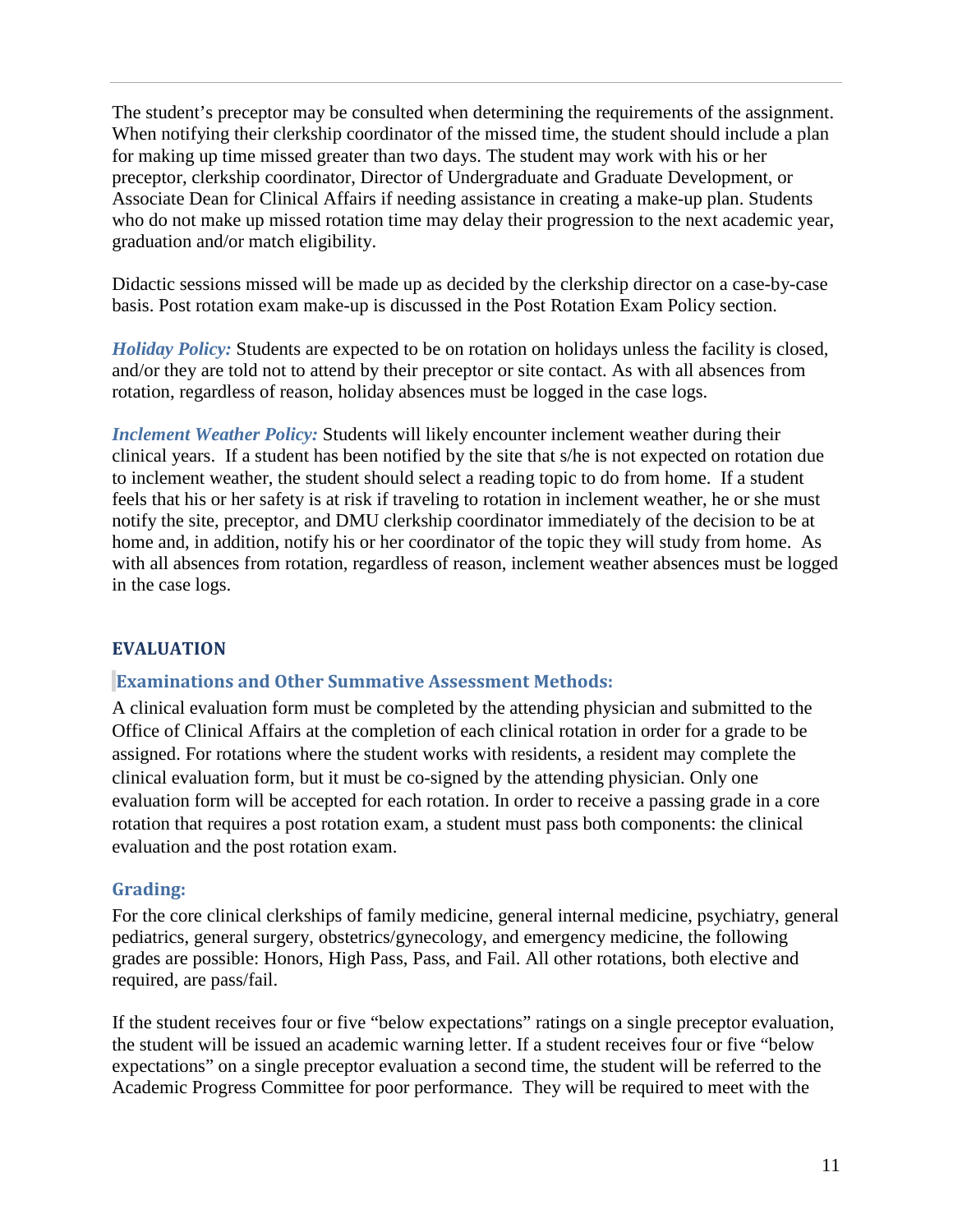The student's preceptor may be consulted when determining the requirements of the assignment. When notifying their clerkship coordinator of the missed time, the student should include a plan for making up time missed greater than two days. The student may work with his or her preceptor, clerkship coordinator, Director of Undergraduate and Graduate Development, or Associate Dean for Clinical Affairs if needing assistance in creating a make-up plan. Students who do not make up missed rotation time may delay their progression to the next academic year, graduation and/or match eligibility.

Didactic sessions missed will be made up as decided by the clerkship director on a case-by-case basis. Post rotation exam make-up is discussed in the Post Rotation Exam Policy section.

*Holiday Policy:* Students are expected to be on rotation on holidays unless the facility is closed, and/or they are told not to attend by their preceptor or site contact. As with all absences from rotation, regardless of reason, holiday absences must be logged in the case logs.

*Inclement Weather Policy:* Students will likely encounter inclement weather during their clinical years. If a student has been notified by the site that s/he is not expected on rotation due to inclement weather, the student should select a reading topic to do from home. If a student feels that his or her safety is at risk if traveling to rotation in inclement weather, he or she must notify the site, preceptor, and DMU clerkship coordinator immediately of the decision to be at home and, in addition, notify his or her coordinator of the topic they will study from home. As with all absences from rotation, regardless of reason, inclement weather absences must be logged in the case logs.

#### **EVALUATION**

#### **Examinations and Other Summative Assessment Methods:**

A clinical evaluation form must be completed by the attending physician and submitted to the Office of Clinical Affairs at the completion of each clinical rotation in order for a grade to be assigned. For rotations where the student works with residents, a resident may complete the clinical evaluation form, but it must be co-signed by the attending physician. Only one evaluation form will be accepted for each rotation. In order to receive a passing grade in a core rotation that requires a post rotation exam, a student must pass both components: the clinical evaluation and the post rotation exam.

#### **Grading:**

For the core clinical clerkships of family medicine, general internal medicine, psychiatry, general pediatrics, general surgery, obstetrics/gynecology, and emergency medicine, the following grades are possible: Honors, High Pass, Pass, and Fail. All other rotations, both elective and required, are pass/fail.

If the student receives four or five "below expectations" ratings on a single preceptor evaluation, the student will be issued an academic warning letter. If a student receives four or five "below expectations" on a single preceptor evaluation a second time, the student will be referred to the Academic Progress Committee for poor performance. They will be required to meet with the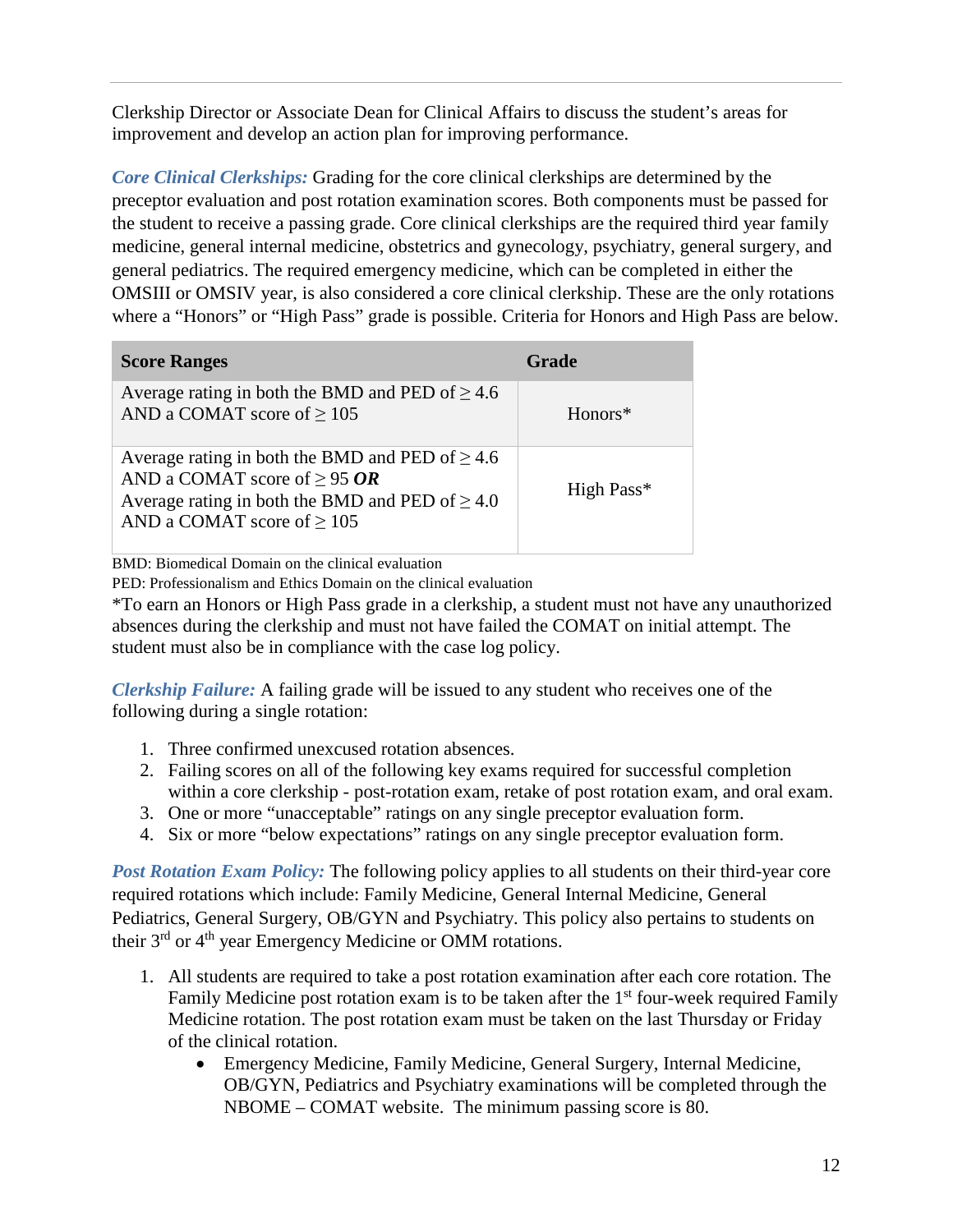Clerkship Director or Associate Dean for Clinical Affairs to discuss the student's areas for improvement and develop an action plan for improving performance.

*Core Clinical Clerkships:* Grading for the core clinical clerkships are determined by the preceptor evaluation and post rotation examination scores. Both components must be passed for the student to receive a passing grade. Core clinical clerkships are the required third year family medicine, general internal medicine, obstetrics and gynecology, psychiatry, general surgery, and general pediatrics. The required emergency medicine, which can be completed in either the OMSIII or OMSIV year, is also considered a core clinical clerkship. These are the only rotations where a "Honors" or "High Pass" grade is possible. Criteria for Honors and High Pass are below.

| <b>Score Ranges</b>                                                                                                                                                                  | Grade      |
|--------------------------------------------------------------------------------------------------------------------------------------------------------------------------------------|------------|
| Average rating in both the BMD and PED of $\geq 4.6$<br>AND a COMAT score of $\geq$ 105                                                                                              | $Honors*$  |
| Average rating in both the BMD and PED of $\geq 4.6$<br>AND a COMAT score of $\geq$ 95 OR<br>Average rating in both the BMD and PED of $\geq 4.0$<br>AND a COMAT score of $\geq$ 105 | High Pass* |

BMD: Biomedical Domain on the clinical evaluation

PED: Professionalism and Ethics Domain on the clinical evaluation

\*To earn an Honors or High Pass grade in a clerkship, a student must not have any unauthorized absences during the clerkship and must not have failed the COMAT on initial attempt. The student must also be in compliance with the case log policy.

*Clerkship Failure:* A failing grade will be issued to any student who receives one of the following during a single rotation:

- 1. Three confirmed unexcused rotation absences.
- 2. Failing scores on all of the following key exams required for successful completion within a core clerkship - post-rotation exam, retake of post rotation exam, and oral exam.
- 3. One or more "unacceptable" ratings on any single preceptor evaluation form.
- 4. Six or more "below expectations" ratings on any single preceptor evaluation form.

*Post Rotation Exam Policy:* The following policy applies to all students on their third-year core required rotations which include: Family Medicine, General Internal Medicine, General Pediatrics, General Surgery, OB/GYN and Psychiatry. This policy also pertains to students on their 3<sup>rd</sup> or 4<sup>th</sup> year Emergency Medicine or OMM rotations.

- 1. All students are required to take a post rotation examination after each core rotation. The Family Medicine post rotation exam is to be taken after the  $1<sup>st</sup>$  four-week required Family Medicine rotation. The post rotation exam must be taken on the last Thursday or Friday of the clinical rotation.
	- Emergency Medicine, Family Medicine, General Surgery, Internal Medicine, OB/GYN, Pediatrics and Psychiatry examinations will be completed through the NBOME – COMAT website. The minimum passing score is 80.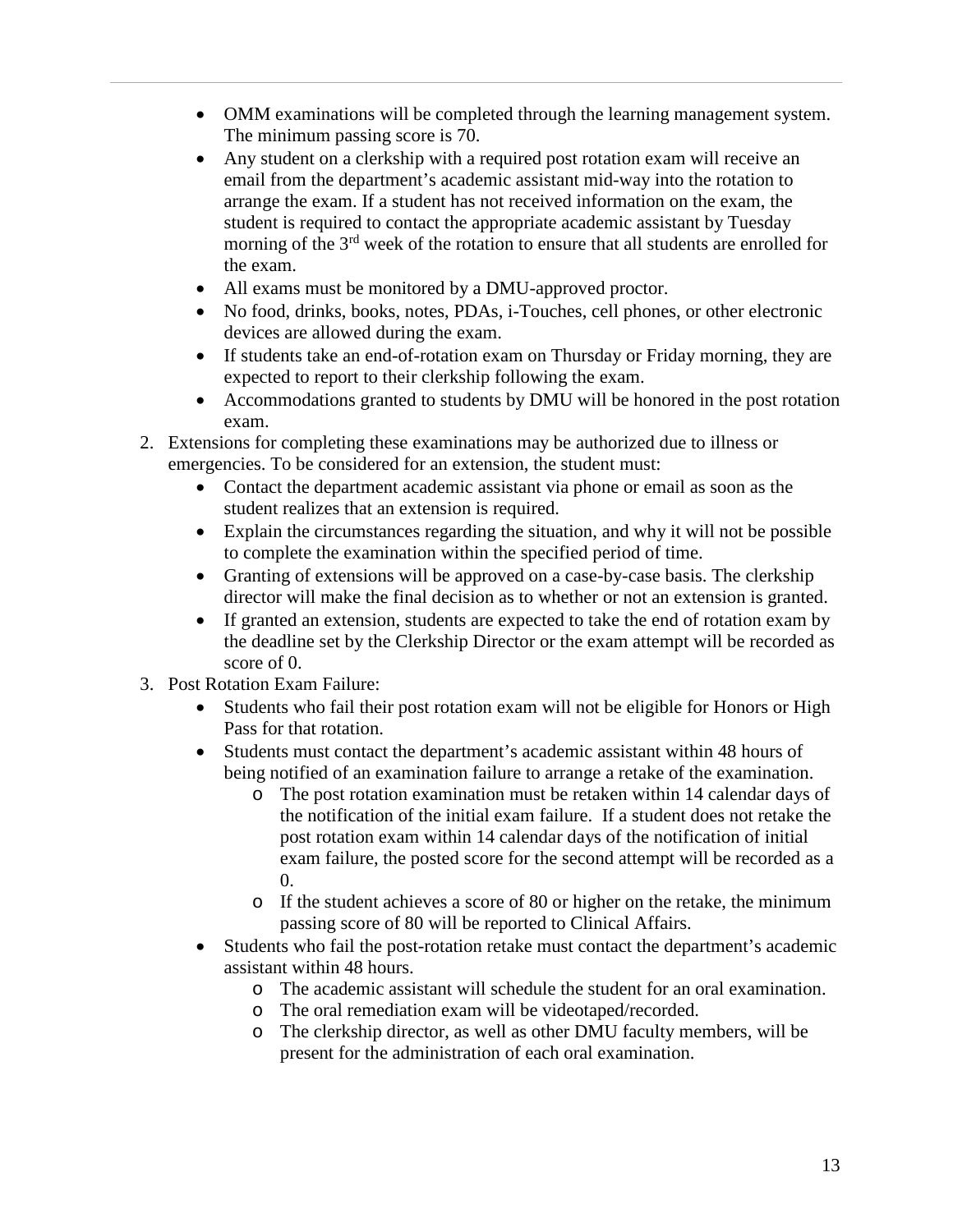- OMM examinations will be completed through the learning management system. The minimum passing score is 70.
- Any student on a clerkship with a required post rotation exam will receive an email from the department's academic assistant mid-way into the rotation to arrange the exam. If a student has not received information on the exam, the student is required to contact the appropriate academic assistant by Tuesday morning of the 3<sup>rd</sup> week of the rotation to ensure that all students are enrolled for the exam.
- All exams must be monitored by a DMU-approved proctor.
- No food, drinks, books, notes, PDAs, i-Touches, cell phones, or other electronic devices are allowed during the exam.
- If students take an end-of-rotation exam on Thursday or Friday morning, they are expected to report to their clerkship following the exam.
- Accommodations granted to students by DMU will be honored in the post rotation exam.
- 2. Extensions for completing these examinations may be authorized due to illness or emergencies. To be considered for an extension, the student must:
	- Contact the department academic assistant via phone or email as soon as the student realizes that an extension is required.
	- Explain the circumstances regarding the situation, and why it will not be possible to complete the examination within the specified period of time.
	- Granting of extensions will be approved on a case-by-case basis. The clerkship director will make the final decision as to whether or not an extension is granted.
	- If granted an extension, students are expected to take the end of rotation exam by the deadline set by the Clerkship Director or the exam attempt will be recorded as score of 0.
- 3. Post Rotation Exam Failure:
	- Students who fail their post rotation exam will not be eligible for Honors or High Pass for that rotation.
	- Students must contact the department's academic assistant within 48 hours of being notified of an examination failure to arrange a retake of the examination.
		- o The post rotation examination must be retaken within 14 calendar days of the notification of the initial exam failure. If a student does not retake the post rotation exam within 14 calendar days of the notification of initial exam failure, the posted score for the second attempt will be recorded as a 0.
		- o If the student achieves a score of 80 or higher on the retake, the minimum passing score of 80 will be reported to Clinical Affairs.
	- Students who fail the post-rotation retake must contact the department's academic assistant within 48 hours.
		- o The academic assistant will schedule the student for an oral examination.
		- The oral remediation exam will be videotaped/recorded.
		- o The clerkship director, as well as other DMU faculty members, will be present for the administration of each oral examination.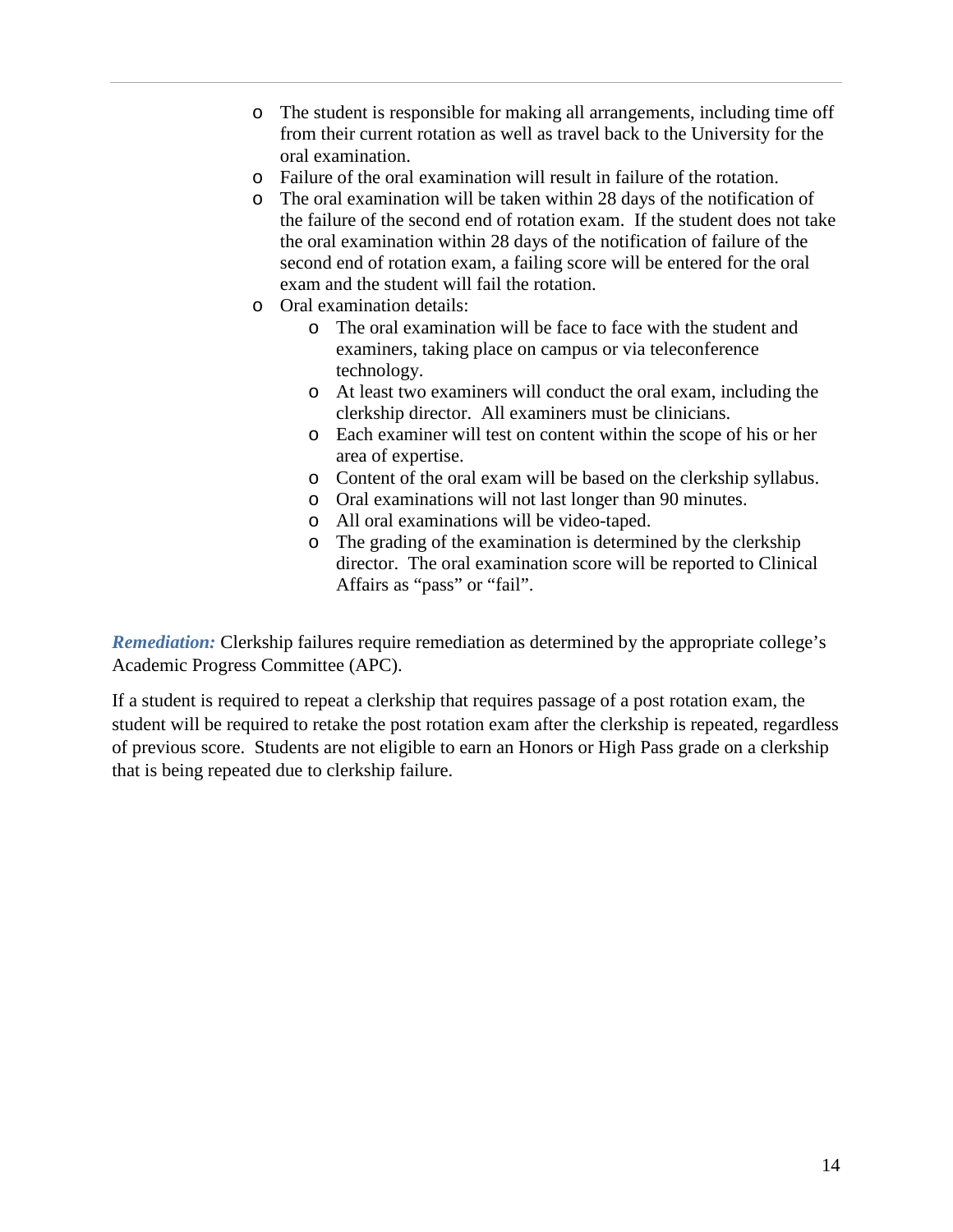- o The student is responsible for making all arrangements, including time off from their current rotation as well as travel back to the University for the oral examination.
- o Failure of the oral examination will result in failure of the rotation.
- o The oral examination will be taken within 28 days of the notification of the failure of the second end of rotation exam. If the student does not take the oral examination within 28 days of the notification of failure of the second end of rotation exam, a failing score will be entered for the oral exam and the student will fail the rotation.
- o Oral examination details:
	- o The oral examination will be face to face with the student and examiners, taking place on campus or via teleconference technology.
	- o At least two examiners will conduct the oral exam, including the clerkship director. All examiners must be clinicians.
	- o Each examiner will test on content within the scope of his or her area of expertise.
	- o Content of the oral exam will be based on the clerkship syllabus.
	- o Oral examinations will not last longer than 90 minutes.
	- o All oral examinations will be video-taped.
	- o The grading of the examination is determined by the clerkship director. The oral examination score will be reported to Clinical Affairs as "pass" or "fail".

*Remediation:* Clerkship failures require remediation as determined by the appropriate college's Academic Progress Committee (APC).

If a student is required to repeat a clerkship that requires passage of a post rotation exam, the student will be required to retake the post rotation exam after the clerkship is repeated, regardless of previous score. Students are not eligible to earn an Honors or High Pass grade on a clerkship that is being repeated due to clerkship failure.